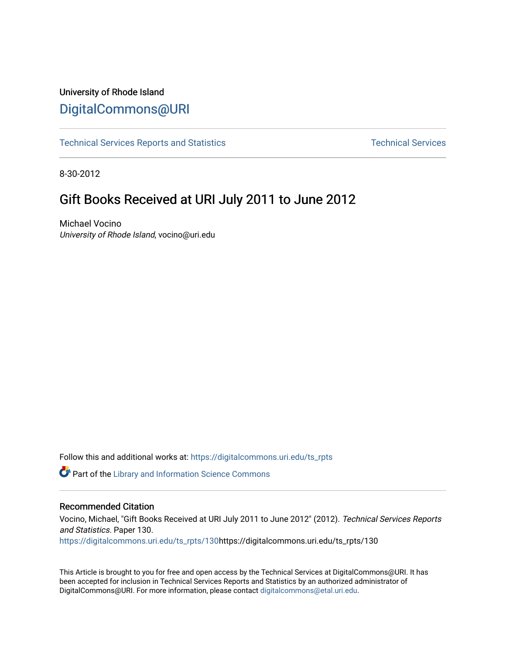## University of Rhode Island [DigitalCommons@URI](https://digitalcommons.uri.edu/)

[Technical Services Reports and Statistics](https://digitalcommons.uri.edu/ts_rpts) [Technical Services](https://digitalcommons.uri.edu/lib_ts) Technical Services

8-30-2012

# Gift Books Received at URI July 2011 to June 2012

Michael Vocino University of Rhode Island, vocino@uri.edu

Follow this and additional works at: [https://digitalcommons.uri.edu/ts\\_rpts](https://digitalcommons.uri.edu/ts_rpts?utm_source=digitalcommons.uri.edu%2Fts_rpts%2F130&utm_medium=PDF&utm_campaign=PDFCoverPages) 

**Part of the Library and Information Science Commons** 

### Recommended Citation

Vocino, Michael, "Gift Books Received at URI July 2011 to June 2012" (2012). Technical Services Reports and Statistics. Paper 130.

[https://digitalcommons.uri.edu/ts\\_rpts/130h](https://digitalcommons.uri.edu/ts_rpts/130?utm_source=digitalcommons.uri.edu%2Fts_rpts%2F130&utm_medium=PDF&utm_campaign=PDFCoverPages)ttps://digitalcommons.uri.edu/ts\_rpts/130

This Article is brought to you for free and open access by the Technical Services at DigitalCommons@URI. It has been accepted for inclusion in Technical Services Reports and Statistics by an authorized administrator of DigitalCommons@URI. For more information, please contact [digitalcommons@etal.uri.edu.](mailto:digitalcommons@etal.uri.edu)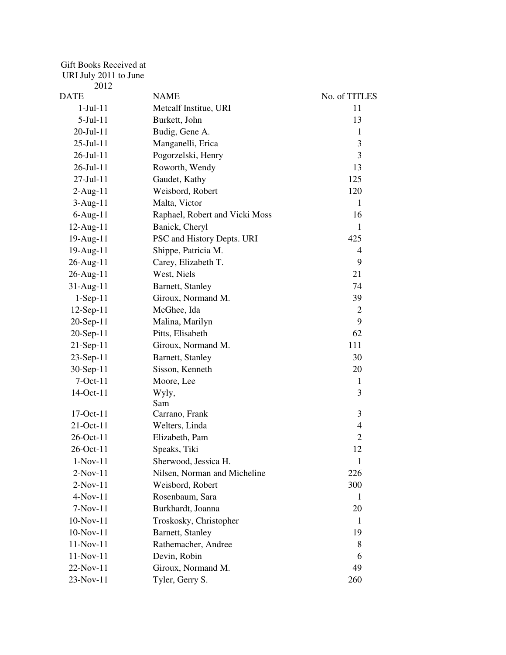### Gift Books Received at

#### URI July 2011 to June

| 2012         |                                |                          |
|--------------|--------------------------------|--------------------------|
| DATE         | <b>NAME</b>                    | No. of TITLES            |
| $1-Jul-11$   | Metcalf Institue, URI          | 11                       |
| $5-Jul-11$   | Burkett, John                  | 13                       |
| 20-Jul-11    | Budig, Gene A.                 | 1                        |
| 25-Jul-11    | Manganelli, Erica              | 3                        |
| 26-Jul-11    | Pogorzelski, Henry             | 3                        |
| 26-Jul-11    | Roworth, Wendy                 | 13                       |
| 27-Jul-11    | Gaudet, Kathy                  | 125                      |
| $2$ -Aug-11  | Weisbord, Robert               | 120                      |
| $3-Aug-11$   | Malta, Victor                  | 1                        |
| $6$ -Aug-11  | Raphael, Robert and Vicki Moss | 16                       |
| 12-Aug-11    | Banick, Cheryl                 | 1                        |
| 19-Aug-11    | PSC and History Depts. URI     | 425                      |
| 19-Aug-11    | Shippe, Patricia M.            | 4                        |
| 26-Aug-11    | Carey, Elizabeth T.            | 9                        |
| 26-Aug-11    | West, Niels                    | 21                       |
| 31-Aug-11    | Barnett, Stanley               | 74                       |
| $1-Sep-11$   | Giroux, Normand M.             | 39                       |
| $12$ -Sep-11 | McGhee, Ida                    | $\overline{2}$           |
| 20-Sep-11    | Malina, Marilyn                | 9                        |
| 20-Sep-11    | Pitts, Elisabeth               | 62                       |
| 21-Sep-11    | Giroux, Normand M.             | 111                      |
| $23-Sep-11$  | Barnett, Stanley               | 30                       |
| $30-Sep-11$  | Sisson, Kenneth                | 20                       |
| $7-Oct-11$   | Moore, Lee                     | 1                        |
| 14-Oct-11    | Wyly,                          | 3                        |
|              | Sam                            |                          |
| 17-Oct-11    | Carrano, Frank                 | 3                        |
| 21-Oct-11    | Welters, Linda                 | $\overline{\mathcal{L}}$ |
| 26-Oct-11    | Elizabeth, Pam                 | $\overline{2}$           |
| 26-Oct-11    | Speaks, Tiki                   | 12                       |
| $1-Nov-11$   | Sherwood, Jessica H.           | $\mathbf{1}$             |
| $2-Nov-11$   | Nilsen, Norman and Micheline   | 226                      |
| $2-Nov-11$   | Weisbord, Robert               | 300                      |
| $4-Nov-11$   | Rosenbaum, Sara                | 1                        |
| $7-Nov-11$   | Burkhardt, Joanna              | 20                       |
| 10-Nov-11    | Troskosky, Christopher         | -1                       |
| $10-Nov-11$  | Barnett, Stanley               | 19                       |
| 11-Nov-11    | Rathemacher, Andree            | 8                        |
| 11-Nov-11    | Devin, Robin                   | 6                        |
| 22-Nov-11    | Giroux, Normand M.             | 49                       |
| 23-Nov-11    | Tyler, Gerry S.                | 260                      |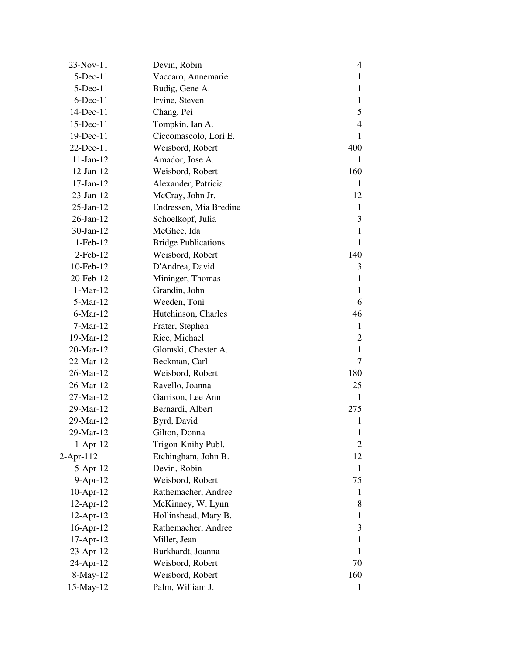| 23-Nov-11       | Devin, Robin               | 4              |
|-----------------|----------------------------|----------------|
| $5$ -Dec-11     | Vaccaro, Annemarie         | 1              |
| $5$ -Dec-11     | Budig, Gene A.             | $\mathbf{1}$   |
| $6$ -Dec-11     | Irvine, Steven             | $\mathbf{1}$   |
| 14-Dec-11       | Chang, Pei                 | 5              |
| $15$ -Dec- $11$ | Tompkin, Ian A.            | 4              |
| $19$ -Dec-11    | Ciccomascolo, Lori E.      | 1              |
| $22$ -Dec-11    | Weisbord, Robert           | 400            |
| $11-Jan-12$     | Amador, Jose A.            | 1              |
| $12$ -Jan- $12$ | Weisbord, Robert           | 160            |
| $17-Jan-12$     | Alexander, Patricia        | 1              |
| $23$ -Jan-12    | McCray, John Jr.           | 12             |
| $25$ -Jan- $12$ | Endressen, Mia Bredine     | 1              |
| $26$ -Jan- $12$ | Schoelkopf, Julia          | 3              |
| $30$ -Jan-12    | McGhee, Ida                | $\mathbf{1}$   |
| $1-Feb-12$      | <b>Bridge Publications</b> | 1              |
| $2$ -Feb-12     | Weisbord, Robert           | 140            |
| 10-Feb-12       | D'Andrea, David            | 3              |
| 20-Feb-12       | Mininger, Thomas           | 1              |
| $1-Mar-12$      | Grandin, John              | $\mathbf{1}$   |
| 5-Mar-12        | Weeden, Toni               | 6              |
| $6$ -Mar-12     | Hutchinson, Charles        | 46             |
| $7-Mar-12$      | Frater, Stephen            | $\mathbf{1}$   |
| 19-Mar-12       | Rice, Michael              | 2              |
| 20-Mar-12       | Glomski, Chester A.        | $\mathbf{1}$   |
| 22-Mar-12       | Beckman, Carl              | 7              |
| 26-Mar-12       | Weisbord, Robert           | 180            |
| 26-Mar-12       | Ravello, Joanna            | 25             |
| 27-Mar-12       | Garrison, Lee Ann          | 1              |
| 29-Mar-12       | Bernardi, Albert           | 275            |
| 29-Mar-12       | Byrd, David                | 1              |
| 29-Mar-12       | Gilton, Donna              | 1              |
| $1-Apr-12$      | Trigon-Knihy Publ.         | $\overline{2}$ |
| $2$ -Apr-112    | Etchingham, John B.        | 12             |
| $5-Apr-12$      | Devin, Robin               | 1              |
| $9-Apr-12$      | Weisbord, Robert           | 75             |
| $10-Apr-12$     | Rathemacher, Andree        | 1              |
| $12$ -Apr- $12$ | McKinney, W. Lynn          | 8              |
| $12$ -Apr- $12$ | Hollinshead, Mary B.       | 1              |
| $16$ -Apr- $12$ | Rathemacher, Andree        | 3              |
| $17-Apr-12$     | Miller, Jean               | 1              |
| $23$ -Apr-12    | Burkhardt, Joanna          | 1              |
| 24-Apr-12       | Weisbord, Robert           | 70             |
| $8-May-12$      | Weisbord, Robert           | 160            |
| 15-May-12       | Palm, William J.           | $\mathbf{1}$   |
|                 |                            |                |